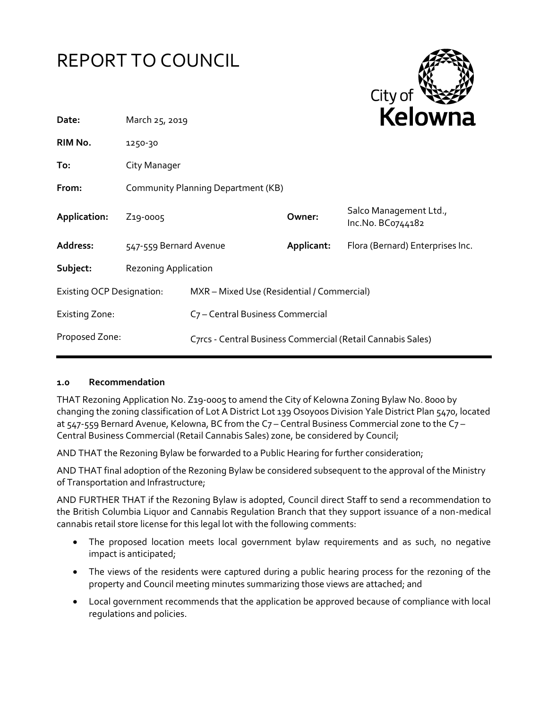



| Date:                            | March 25, 2019                     |                                                             | <b>NEIUWII</b> d |                                             |
|----------------------------------|------------------------------------|-------------------------------------------------------------|------------------|---------------------------------------------|
| RIM No.                          | 1250-30                            |                                                             |                  |                                             |
| To:                              | City Manager                       |                                                             |                  |                                             |
| From:                            | Community Planning Department (KB) |                                                             |                  |                                             |
| Application:                     | Z <sub>19</sub> -0005              |                                                             | Owner:           | Salco Management Ltd.,<br>Inc.No. BC0744182 |
| Address:                         | 547-559 Bernard Avenue             |                                                             | Applicant:       | Flora (Bernard) Enterprises Inc.            |
| Subject:                         | <b>Rezoning Application</b>        |                                                             |                  |                                             |
| <b>Existing OCP Designation:</b> |                                    | MXR - Mixed Use (Residential / Commercial)                  |                  |                                             |
| <b>Existing Zone:</b>            |                                    | C <sub>7</sub> – Central Business Commercial                |                  |                                             |
| Proposed Zone:                   |                                    | C7rcs - Central Business Commercial (Retail Cannabis Sales) |                  |                                             |

#### **1.0 Recommendation**

THAT Rezoning Application No. Z19-0005 to amend the City of Kelowna Zoning Bylaw No. 8000 by changing the zoning classification of Lot A District Lot 139 Osoyoos Division Yale District Plan 5470, located at 547-559 Bernard Avenue, Kelowna, BC from the C7 – Central Business Commercial zone to the C7 – Central Business Commercial (Retail Cannabis Sales) zone, be considered by Council;

AND THAT the Rezoning Bylaw be forwarded to a Public Hearing for further consideration;

AND THAT final adoption of the Rezoning Bylaw be considered subsequent to the approval of the Ministry of Transportation and Infrastructure;

AND FURTHER THAT if the Rezoning Bylaw is adopted, Council direct Staff to send a recommendation to the British Columbia Liquor and Cannabis Regulation Branch that they support issuance of a non-medical cannabis retail store license for this legal lot with the following comments:

- The proposed location meets local government bylaw requirements and as such, no negative impact is anticipated;
- The views of the residents were captured during a public hearing process for the rezoning of the property and Council meeting minutes summarizing those views are attached; and
- Local government recommends that the application be approved because of compliance with local regulations and policies.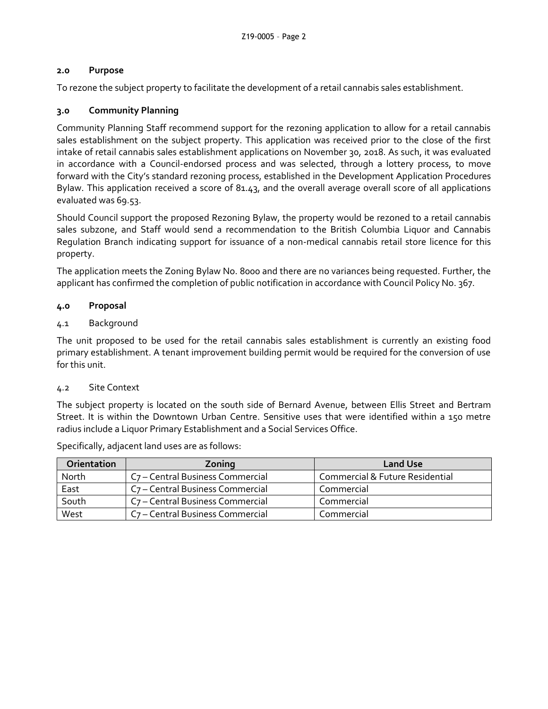## **2.0 Purpose**

To rezone the subject property to facilitate the development of a retail cannabis sales establishment.

## **3.0 Community Planning**

Community Planning Staff recommend support for the rezoning application to allow for a retail cannabis sales establishment on the subject property. This application was received prior to the close of the first intake of retail cannabis sales establishment applications on November 30, 2018. As such, it was evaluated in accordance with a Council-endorsed process and was selected, through a lottery process, to move forward with the City's standard rezoning process, established in the Development Application Procedures Bylaw. This application received a score of 81.43, and the overall average overall score of all applications evaluated was 69.53.

Should Council support the proposed Rezoning Bylaw, the property would be rezoned to a retail cannabis sales subzone, and Staff would send a recommendation to the British Columbia Liquor and Cannabis Regulation Branch indicating support for issuance of a non-medical cannabis retail store licence for this property.

The application meets the Zoning Bylaw No. 8000 and there are no variances being requested. Further, the applicant has confirmed the completion of public notification in accordance with Council Policy No. 367.

#### **4.0 Proposal**

#### 4.1 Background

The unit proposed to be used for the retail cannabis sales establishment is currently an existing food primary establishment. A tenant improvement building permit would be required for the conversion of use for this unit.

#### 4.2 Site Context

The subject property is located on the south side of Bernard Avenue, between Ellis Street and Bertram Street. It is within the Downtown Urban Centre. Sensitive uses that were identified within a 150 metre radius include a Liquor Primary Establishment and a Social Services Office.

| Orientation | Zoning                                       | <b>Land Use</b>                 |
|-------------|----------------------------------------------|---------------------------------|
| North       | C <sub>7</sub> – Central Business Commercial | Commercial & Future Residential |
| East        | C <sub>7</sub> – Central Business Commercial | Commercial                      |
| South       | C <sub>7</sub> - Central Business Commercial | Commercial                      |
| West        | C <sub>7</sub> – Central Business Commercial | Commercial                      |

Specifically, adjacent land uses are as follows: